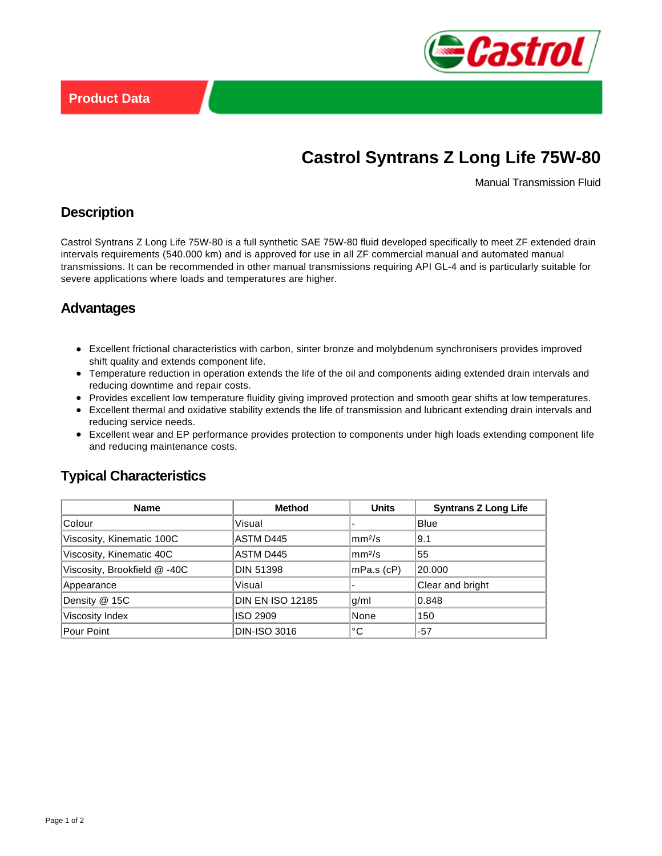

# **Castrol Syntrans Z Long Life 75W-80**

Manual Transmission Fluid

## **Description**

Castrol Syntrans Z Long Life 75W-80 is a full synthetic SAE 75W-80 fluid developed specifically to meet ZF extended drain intervals requirements (540.000 km) and is approved for use in all ZF commercial manual and automated manual transmissions. It can be recommended in other manual transmissions requiring API GL-4 and is particularly suitable for severe applications where loads and temperatures are higher.

## **Advantages**

- Excellent frictional characteristics with carbon, sinter bronze and molybdenum synchronisers provides improved shift quality and extends component life.
- Temperature reduction in operation extends the life of the oil and components aiding extended drain intervals and reducing downtime and repair costs.
- Provides excellent low temperature fluidity giving improved protection and smooth gear shifts at low temperatures.
- Excellent thermal and oxidative stability extends the life of transmission and lubricant extending drain intervals and reducing service needs.
- Excellent wear and EP performance provides protection to components under high loads extending component life and reducing maintenance costs.

## **Typical Characteristics**

| Name                         | <b>Method</b>           | <b>Units</b>         | <b>Syntrans Z Long Life</b> |
|------------------------------|-------------------------|----------------------|-----------------------------|
| Colour                       | Visual                  |                      | <b>Blue</b>                 |
| Viscosity, Kinematic 100C    | ASTM D445               | $\rm{mm}^{2}/\rm{s}$ | 9.1                         |
| Viscosity, Kinematic 40C     | ASTM D445               | mm <sup>2</sup> /s   | 55                          |
| Viscosity, Brookfield @ -40C | <b>DIN 51398</b>        | mPa.s (cP)           | 20.000                      |
| Appearance                   | Visual                  |                      | Clear and bright            |
| Density @ 15C                | <b>DIN EN ISO 12185</b> | q/ml                 | 0.848                       |
| Viscosity Index              | ISO 2909                | None                 | 150                         |
| Pour Point                   | <b>DIN-ISO 3016</b>     | °C                   | -57                         |